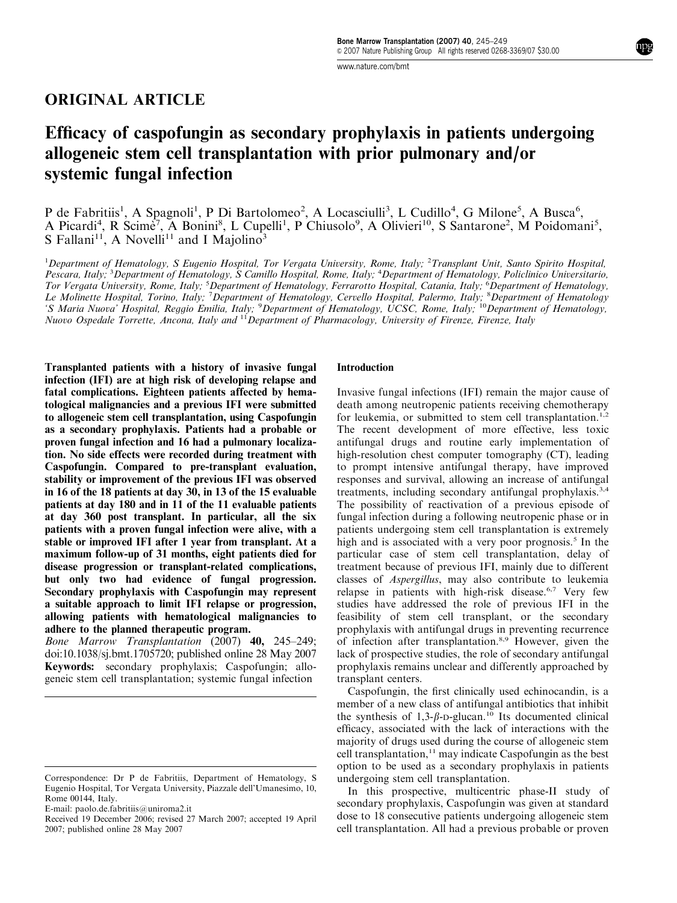# ORIGINAL ARTICLE

# Efficacy of caspofungin as secondary prophylaxis in patients undergoing allogeneic stem cell transplantation with prior pulmonary and/or systemic fungal infection

P de Fabritiis<sup>1</sup>, A Spagnoli<sup>1</sup>, P Di Bartolomeo<sup>2</sup>, A Locasciulli<sup>3</sup>, L Cudillo<sup>4</sup>, G Milone<sup>5</sup>, A Busca<sup>6</sup>, A Picardi<sup>4</sup>, R Scime<sup>7</sup>, A Bonini<sup>8</sup>, L Cupelli<sup>1</sup>, P Chiusolo<sup>9</sup>, A Olivieri<sup>10</sup>, S Santarone<sup>2</sup>, M Poidomani<sup>5</sup>, S Fallani<sup>11</sup>, A Novelli<sup>11</sup> and I Majolino<sup>3</sup>

<sup>1</sup>Department of Hematology, S Eugenio Hospital, Tor Vergata University, Rome, Italy; <sup>2</sup>Transplant Unit, Santo Spirito Hospital, Pescara, Italy; <sup>3</sup>Department of Hematology, S Camillo Hospital, Rome, Italy; <sup>4</sup>Department of Hematology, Policlinico Universitario, Tor Vergata University, Rome, Italy; <sup>5</sup>Department of Hematology, Ferrarotto Hospital, Catania, Italy; <sup>6</sup>Department of Hematology, Le Molinette Hospital, Torino, Italy; <sup>7</sup>Department of Hematology, Cervello Hospital, Palermo, Italy; <sup>8</sup>Department of Hematology 'S Maria Nuova' Hospital, Reggio Emilia, Italy; <sup>9</sup>Department of Hematology, UCSC, Rome, Italy; <sup>10</sup>Department of Hematology, Nuovo Ospedale Torrette, Ancona, Italy and <sup>11</sup>Department of Pharmacology, University of Firenze, Firenze, Italy

Transplanted patients with a history of invasive fungal infection (IFI) are at high risk of developing relapse and fatal complications. Eighteen patients affected by hematological malignancies and a previous IFI were submitted to allogeneic stem cell transplantation, using Caspofungin as a secondary prophylaxis. Patients had a probable or proven fungal infection and 16 had a pulmonary localization. No side effects were recorded during treatment with Caspofungin. Compared to pre-transplant evaluation, stability or improvement of the previous IFI was observed in 16 of the 18 patients at day 30, in 13 of the 15 evaluable patients at day 180 and in 11 of the 11 evaluable patients at day 360 post transplant. In particular, all the six patients with a proven fungal infection were alive, with a stable or improved IFI after 1 year from transplant. At a maximum follow-up of 31 months, eight patients died for disease progression or transplant-related complications, but only two had evidence of fungal progression. Secondary prophylaxis with Caspofungin may represent a suitable approach to limit IFI relapse or progression, allowing patients with hematological malignancies to adhere to the planned therapeutic program.

Bone Marrow Transplantation  $(2007)$  **40,** 245–249; doi:10.1038/sj.bmt.1705720; published online 28 May 2007 Keywords: secondary prophylaxis; Caspofungin; allogeneic stem cell transplantation; systemic fungal infection

#### Introduction

Invasive fungal infections (IFI) remain the major cause of death among neutropenic patients receiving chemotherapy for leukemia, or submitted to stem cell transplantation.<sup>1,2</sup> The recent development of more effective, less toxic antifungal drugs and routine early implementation of high-resolution chest computer tomography (CT), leading to prompt intensive antifungal therapy, have improved responses and survival, allowing an increase of antifungal treatments, including secondary antifungal prophylaxis.3,4 The possibility of reactivation of a previous episode of fungal infection during a following neutropenic phase or in patients undergoing stem cell transplantation is extremely high and is associated with a very poor prognosis.<sup>5</sup> In the particular case of stem cell transplantation, delay of treatment because of previous IFI, mainly due to different classes of Aspergillus, may also contribute to leukemia relapse in patients with high-risk disease.<sup>6,7</sup> Very few studies have addressed the role of previous IFI in the feasibility of stem cell transplant, or the secondary prophylaxis with antifungal drugs in preventing recurrence of infection after transplantation.<sup>8,9</sup> However, given the lack of prospective studies, the role of secondary antifungal prophylaxis remains unclear and differently approached by transplant centers.

Caspofungin, the first clinically used echinocandin, is a member of a new class of antifungal antibiotics that inhibit the synthesis of  $1,3-\beta$ -D-glucan.<sup>10</sup> Its documented clinical efficacy, associated with the lack of interactions with the majority of drugs used during the course of allogeneic stem cell transplantation, $11$  may indicate Caspofungin as the best option to be used as a secondary prophylaxis in patients undergoing stem cell transplantation.

In this prospective, multicentric phase-II study of secondary prophylaxis, Caspofungin was given at standard dose to 18 consecutive patients undergoing allogeneic stem cell transplantation. All had a previous probable or proven

Correspondence: Dr P de Fabritiis, Department of Hematology, S Eugenio Hospital, Tor Vergata University, Piazzale dell'Umanesimo, 10, Rome 00144, Italy.

E-mail: paolo.de.fabritiis@uniroma2.it

Received 19 December 2006; revised 27 March 2007; accepted 19 April 2007; published online 28 May 2007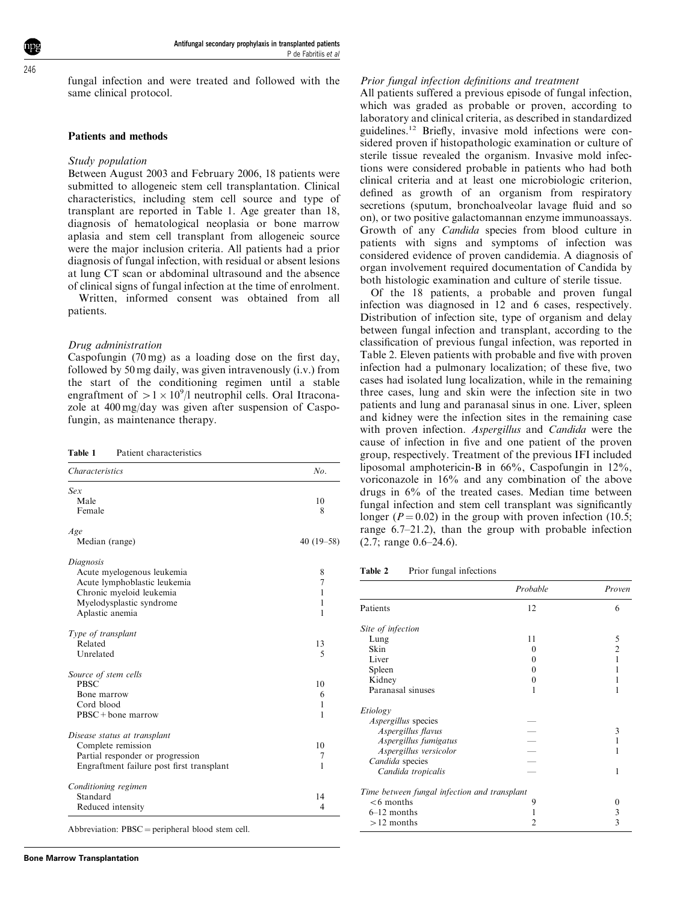$216$ 

fungal infection and were treated and followed with the same clinical protocol.

#### Patients and methods

#### Study population

Between August 2003 and February 2006, 18 patients were submitted to allogeneic stem cell transplantation. Clinical characteristics, including stem cell source and type of transplant are reported in Table 1. Age greater than 18, diagnosis of hematological neoplasia or bone marrow aplasia and stem cell transplant from allogeneic source were the major inclusion criteria. All patients had a prior diagnosis of fungal infection, with residual or absent lesions at lung CT scan or abdominal ultrasound and the absence of clinical signs of fungal infection at the time of enrolment.

Written, informed consent was obtained from all patients.

#### Drug administration

Caspofungin (70 mg) as a loading dose on the first day, followed by 50 mg daily, was given intravenously (i.v.) from the start of the conditioning regimen until a stable engraftment of  $> 1 \times 10^9$ /l neutrophil cells. Oral Itraconazole at 400 mg/day was given after suspension of Caspofungin, as maintenance therapy.

| Table 1 |  | Patient characteristics |
|---------|--|-------------------------|
|---------|--|-------------------------|

| <b>Characteristics</b>                    | No.         |  |
|-------------------------------------------|-------------|--|
| Sex                                       |             |  |
| Male                                      | 10          |  |
| Female                                    | 8           |  |
| Age                                       |             |  |
| Median (range)                            | $40(19-58)$ |  |
| Diagnosis                                 |             |  |
| Acute myelogenous leukemia                | 8           |  |
| Acute lymphoblastic leukemia              | 7           |  |
| Chronic myeloid leukemia                  | 1           |  |
| Myelodysplastic syndrome                  | 1           |  |
| Aplastic anemia                           | 1           |  |
| Type of transplant                        |             |  |
| Related                                   | 13          |  |
| Unrelated                                 | 5           |  |
| Source of stem cells                      |             |  |
| <b>PRSC</b>                               | 10          |  |
| Bone marrow                               | 6           |  |
| Cord blood                                | 1           |  |
| $PBSC + bone$ marrow                      | 1           |  |
| Disease status at transplant              |             |  |
| Complete remission                        | 10          |  |
| Partial responder or progression          | 7           |  |
| Engraftment failure post first transplant | 1           |  |
| Conditioning regimen                      |             |  |
| Standard                                  | 14          |  |
| Reduced intensity                         | 4           |  |

Abbreviation:  $PBSC = peripheral blood stem cell$ .

#### Prior fungal infection definitions and treatment

All patients suffered a previous episode of fungal infection, which was graded as probable or proven, according to laboratory and clinical criteria, as described in standardized guidelines.<sup>12</sup> Briefly, invasive mold infections were considered proven if histopathologic examination or culture of sterile tissue revealed the organism. Invasive mold infections were considered probable in patients who had both clinical criteria and at least one microbiologic criterion, defined as growth of an organism from respiratory secretions (sputum, bronchoalveolar lavage fluid and so on), or two positive galactomannan enzyme immunoassays. Growth of any Candida species from blood culture in patients with signs and symptoms of infection was considered evidence of proven candidemia. A diagnosis of organ involvement required documentation of Candida by both histologic examination and culture of sterile tissue.

Of the 18 patients, a probable and proven fungal infection was diagnosed in 12 and 6 cases, respectively. Distribution of infection site, type of organism and delay between fungal infection and transplant, according to the classification of previous fungal infection, was reported in Table 2. Eleven patients with probable and five with proven infection had a pulmonary localization; of these five, two cases had isolated lung localization, while in the remaining three cases, lung and skin were the infection site in two patients and lung and paranasal sinus in one. Liver, spleen and kidney were the infection sites in the remaining case with proven infection. Aspergillus and Candida were the cause of infection in five and one patient of the proven group, respectively. Treatment of the previous IFI included liposomal amphotericin-B in 66%, Caspofungin in 12%, voriconazole in 16% and any combination of the above drugs in 6% of the treated cases. Median time between fungal infection and stem cell transplant was significantly longer ( $P = 0.02$ ) in the group with proven infection (10.5; range 6.7–21.2), than the group with probable infection (2.7; range 0.6–24.6).

Table 2 Prior fungal infections

|                                              | Probable | Proven         |
|----------------------------------------------|----------|----------------|
| Patients                                     | 12       | 6              |
| Site of infection                            |          |                |
| Lung                                         | 11       | 5              |
| Skin                                         | 0        | $\overline{2}$ |
| Liver                                        |          |                |
| Spleen                                       | 0        |                |
| Kidney                                       | 0        |                |
| Paranasal sinuses                            |          |                |
| Etiology                                     |          |                |
| <i>Aspergillus</i> species                   |          |                |
| Aspergillus flavus                           |          | 3              |
| Aspergillus fumigatus                        |          |                |
| Aspergillus versicolor                       |          | 1              |
| Candida species                              |          |                |
| Candida tropicalis                           |          | 1              |
| Time between fungal infection and transplant |          |                |
| $<6$ months                                  | 9        | 0              |
| $6-12$ months                                | 1        | 3              |
| $>12$ months                                 | 2        | 3              |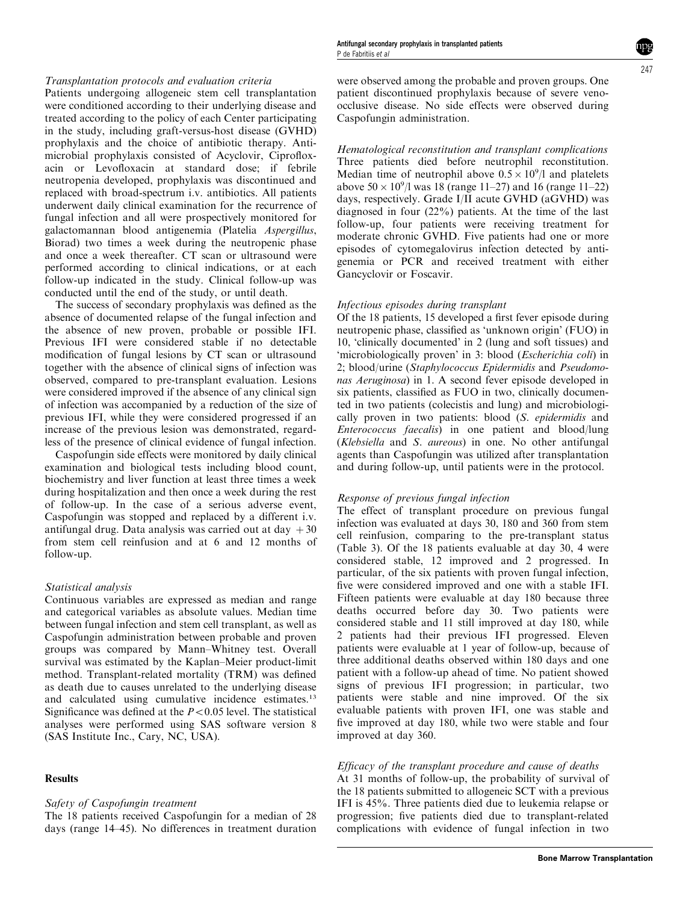# Transplantation protocols and evaluation criteria

Patients undergoing allogeneic stem cell transplantation were conditioned according to their underlying disease and treated according to the policy of each Center participating in the study, including graft-versus-host disease (GVHD) prophylaxis and the choice of antibiotic therapy. Antimicrobial prophylaxis consisted of Acyclovir, Ciprofloxacin or Levofloxacin at standard dose; if febrile neutropenia developed, prophylaxis was discontinued and replaced with broad-spectrum i.v. antibiotics. All patients underwent daily clinical examination for the recurrence of fungal infection and all were prospectively monitored for galactomannan blood antigenemia (Platelia Aspergillus, Biorad) two times a week during the neutropenic phase and once a week thereafter. CT scan or ultrasound were performed according to clinical indications, or at each follow-up indicated in the study. Clinical follow-up was conducted until the end of the study, or until death.

The success of secondary prophylaxis was defined as the absence of documented relapse of the fungal infection and the absence of new proven, probable or possible IFI. Previous IFI were considered stable if no detectable modification of fungal lesions by CT scan or ultrasound together with the absence of clinical signs of infection was observed, compared to pre-transplant evaluation. Lesions were considered improved if the absence of any clinical sign of infection was accompanied by a reduction of the size of previous IFI, while they were considered progressed if an increase of the previous lesion was demonstrated, regardless of the presence of clinical evidence of fungal infection.

Caspofungin side effects were monitored by daily clinical examination and biological tests including blood count, biochemistry and liver function at least three times a week during hospitalization and then once a week during the rest of follow-up. In the case of a serious adverse event, Caspofungin was stopped and replaced by a different i.v. antifungal drug. Data analysis was carried out at day  $+30$ from stem cell reinfusion and at 6 and 12 months of follow-up.

#### Statistical analysis

Continuous variables are expressed as median and range and categorical variables as absolute values. Median time between fungal infection and stem cell transplant, as well as Caspofungin administration between probable and proven groups was compared by Mann–Whitney test. Overall survival was estimated by the Kaplan–Meier product-limit method. Transplant-related mortality (TRM) was defined as death due to causes unrelated to the underlying disease and calculated using cumulative incidence estimates.<sup>13</sup> Significance was defined at the  $P < 0.05$  level. The statistical analyses were performed using SAS software version 8 (SAS Institute Inc., Cary, NC, USA).

## Results

# Safety of Caspofungin treatment

The 18 patients received Caspofungin for a median of 28 days (range 14–45). No differences in treatment duration were observed among the probable and proven groups. One patient discontinued prophylaxis because of severe venoocclusive disease. No side effects were observed during Caspofungin administration.

Hematological reconstitution and transplant complications Three patients died before neutrophil reconstitution. Median time of neutrophil above  $0.5 \times 10^9$ /l and platelets above  $50 \times 10^9$ /l was 18 (range 11–27) and 16 (range 11–22) days, respectively. Grade I/II acute GVHD (aGVHD) was diagnosed in four (22%) patients. At the time of the last follow-up, four patients were receiving treatment for moderate chronic GVHD. Five patients had one or more episodes of cytomegalovirus infection detected by antigenemia or PCR and received treatment with either Gancyclovir or Foscavir.

#### Infectious episodes during transplant

Of the 18 patients, 15developed a first fever episode during neutropenic phase, classified as 'unknown origin' (FUO) in 10, 'clinically documented' in 2 (lung and soft tissues) and 'microbiologically proven' in 3: blood (Escherichia coli) in 2; blood/urine (Staphylococcus Epidermidis and Pseudomonas Aeruginosa) in 1. A second fever episode developed in six patients, classified as FUO in two, clinically documented in two patients (colecistis and lung) and microbiologically proven in two patients: blood (S. epidermidis and Enterococcus faecalis) in one patient and blood/lung (Klebsiella and S. aureous) in one. No other antifungal agents than Caspofungin was utilized after transplantation and during follow-up, until patients were in the protocol.

#### Response of previous fungal infection

The effect of transplant procedure on previous fungal infection was evaluated at days 30, 180 and 360 from stem cell reinfusion, comparing to the pre-transplant status (Table 3). Of the 18 patients evaluable at day 30, 4 were considered stable, 12 improved and 2 progressed. In particular, of the six patients with proven fungal infection, five were considered improved and one with a stable IFI. Fifteen patients were evaluable at day 180 because three deaths occurred before day 30. Two patients were considered stable and 11 still improved at day 180, while 2 patients had their previous IFI progressed. Eleven patients were evaluable at 1 year of follow-up, because of three additional deaths observed within 180 days and one patient with a follow-up ahead of time. No patient showed signs of previous IFI progression; in particular, two patients were stable and nine improved. Of the six evaluable patients with proven IFI, one was stable and five improved at day 180, while two were stable and four improved at day 360.

## Efficacy of the transplant procedure and cause of deaths

At 31 months of follow-up, the probability of survival of the 18 patients submitted to allogeneic SCT with a previous IFI is 45%. Three patients died due to leukemia relapse or progression; five patients died due to transplant-related complications with evidence of fungal infection in two

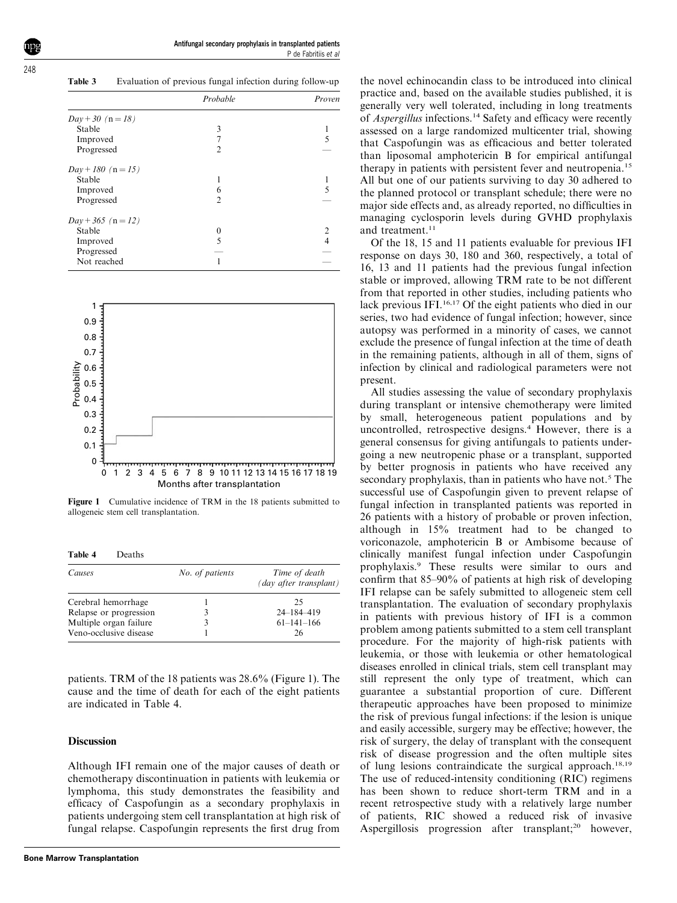Table 3 Evaluation of previous fungal infection during follow-up

| Probable             |   | Proven |
|----------------------|---|--------|
| $Day + 30$ (n = 18)  |   |        |
| Stable               | 3 |        |
| Improved             |   |        |
| Progressed           | 2 |        |
| $Day + 180$ (n = 15) |   |        |
| Stable               |   |        |
| Improved             | 6 |        |
| Progressed           | 2 |        |
| $Day + 365$ (n = 12) |   |        |
| Stable               | 0 |        |
| Improved             | 5 |        |
| Progressed           |   |        |
| Not reached          |   |        |



Figure 1 Cumulative incidence of TRM in the 18 patients submitted to allogeneic stem cell transplantation.

Table 4 Deaths

| Causes                 | No. of patients | Time of death<br>(day after transplant) |
|------------------------|-----------------|-----------------------------------------|
| Cerebral hemorrhage    |                 | 25                                      |
| Relapse or progression | 3               | 24-184-419                              |
| Multiple organ failure |                 | $61 - 141 - 166$                        |
| Veno-occlusive disease |                 | 26                                      |

patients. TRM of the 18 patients was 28.6% (Figure 1). The cause and the time of death for each of the eight patients are indicated in Table 4.

#### **Discussion**

Although IFI remain one of the major causes of death or chemotherapy discontinuation in patients with leukemia or lymphoma, this study demonstrates the feasibility and efficacy of Caspofungin as a secondary prophylaxis in patients undergoing stem cell transplantation at high risk of fungal relapse. Caspofungin represents the first drug from

the novel echinocandin class to be introduced into clinical practice and, based on the available studies published, it is generally very well tolerated, including in long treatments of *Aspergillus* infections.<sup>14</sup> Safety and efficacy were recently assessed on a large randomized multicenter trial, showing that Caspofungin was as efficacious and better tolerated than liposomal amphotericin B for empirical antifungal therapy in patients with persistent fever and neutropenia.<sup>15</sup> All but one of our patients surviving to day 30 adhered to the planned protocol or transplant schedule; there were no major side effects and, as already reported, no difficulties in managing cyclosporin levels during GVHD prophylaxis and treatment.<sup>11</sup>

Of the 18, 15and 11 patients evaluable for previous IFI response on days 30, 180 and 360, respectively, a total of 16, 13 and 11 patients had the previous fungal infection stable or improved, allowing TRM rate to be not different from that reported in other studies, including patients who lack previous IFI.<sup>16,17</sup> Of the eight patients who died in our series, two had evidence of fungal infection; however, since autopsy was performed in a minority of cases, we cannot exclude the presence of fungal infection at the time of death in the remaining patients, although in all of them, signs of infection by clinical and radiological parameters were not present.

All studies assessing the value of secondary prophylaxis during transplant or intensive chemotherapy were limited by small, heterogeneous patient populations and by uncontrolled, retrospective designs.<sup>4</sup> However, there is a general consensus for giving antifungals to patients undergoing a new neutropenic phase or a transplant, supported by better prognosis in patients who have received any secondary prophylaxis, than in patients who have not.<sup>5</sup> The successful use of Caspofungin given to prevent relapse of fungal infection in transplanted patients was reported in 26 patients with a history of probable or proven infection, although in 15% treatment had to be changed to voriconazole, amphotericin B or Ambisome because of clinically manifest fungal infection under Caspofungin prophylaxis.<sup>9</sup> These results were similar to ours and confirm that 85–90% of patients at high risk of developing IFI relapse can be safely submitted to allogeneic stem cell transplantation. The evaluation of secondary prophylaxis in patients with previous history of IFI is a common problem among patients submitted to a stem cell transplant procedure. For the majority of high-risk patients with leukemia, or those with leukemia or other hematological diseases enrolled in clinical trials, stem cell transplant may still represent the only type of treatment, which can guarantee a substantial proportion of cure. Different therapeutic approaches have been proposed to minimize the risk of previous fungal infections: if the lesion is unique and easily accessible, surgery may be effective; however, the risk of surgery, the delay of transplant with the consequent risk of disease progression and the often multiple sites of lung lesions contraindicate the surgical approach.<sup>18,19</sup> The use of reduced-intensity conditioning (RIC) regimens has been shown to reduce short-term TRM and in a recent retrospective study with a relatively large number of patients, RIC showed a reduced risk of invasive Aspergillosis progression after transplant;<sup>20</sup> however,